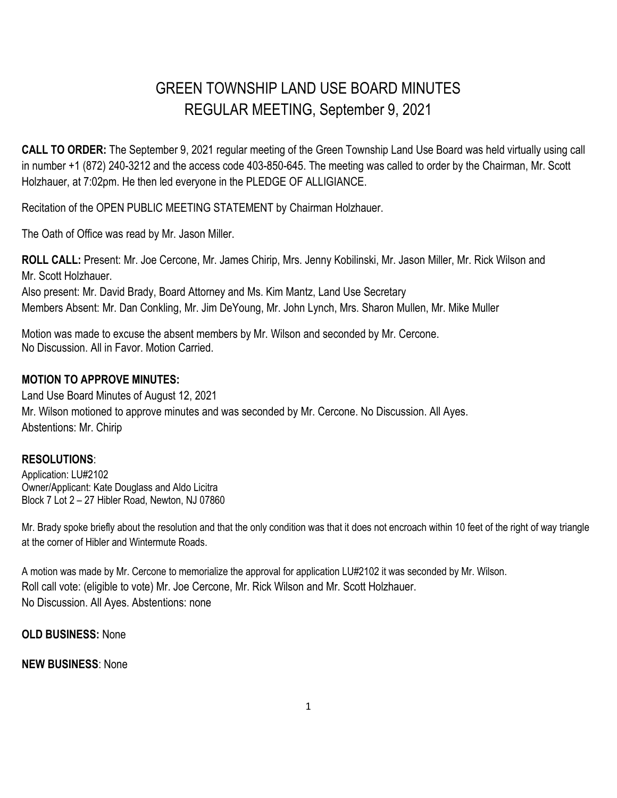## GREEN TOWNSHIP LAND USE BOARD MINUTES REGULAR MEETING, September 9, 2021

**CALL TO ORDER:** The September 9, 2021 regular meeting of the Green Township Land Use Board was held virtually using call in number +1 (872) 240-3212 and the access code 403-850-645. The meeting was called to order by the Chairman, Mr. Scott Holzhauer, at 7:02pm. He then led everyone in the PLEDGE OF ALLIGIANCE.

Recitation of the OPEN PUBLIC MEETING STATEMENT by Chairman Holzhauer.

The Oath of Office was read by Mr. Jason Miller.

**ROLL CALL:** Present: Mr. Joe Cercone, Mr. James Chirip, Mrs. Jenny Kobilinski, Mr. Jason Miller, Mr. Rick Wilson and Mr. Scott Holzhauer.

Also present: Mr. David Brady, Board Attorney and Ms. Kim Mantz, Land Use Secretary Members Absent: Mr. Dan Conkling, Mr. Jim DeYoung, Mr. John Lynch, Mrs. Sharon Mullen, Mr. Mike Muller

Motion was made to excuse the absent members by Mr. Wilson and seconded by Mr. Cercone. No Discussion. All in Favor. Motion Carried.

## **MOTION TO APPROVE MINUTES:**

Land Use Board Minutes of August 12, 2021 Mr. Wilson motioned to approve minutes and was seconded by Mr. Cercone. No Discussion. All Ayes. Abstentions: Mr. Chirip

## **RESOLUTIONS**:

Application: LU#2102 Owner/Applicant: Kate Douglass and Aldo Licitra Block 7 Lot 2 – 27 Hibler Road, Newton, NJ 07860

Mr. Brady spoke briefly about the resolution and that the only condition was that it does not encroach within 10 feet of the right of way triangle at the corner of Hibler and Wintermute Roads.

A motion was made by Mr. Cercone to memorialize the approval for application LU#2102 it was seconded by Mr. Wilson. Roll call vote: (eligible to vote) Mr. Joe Cercone, Mr. Rick Wilson and Mr. Scott Holzhauer. No Discussion. All Ayes. Abstentions: none

**OLD BUSINESS:** None

## **NEW BUSINESS**: None